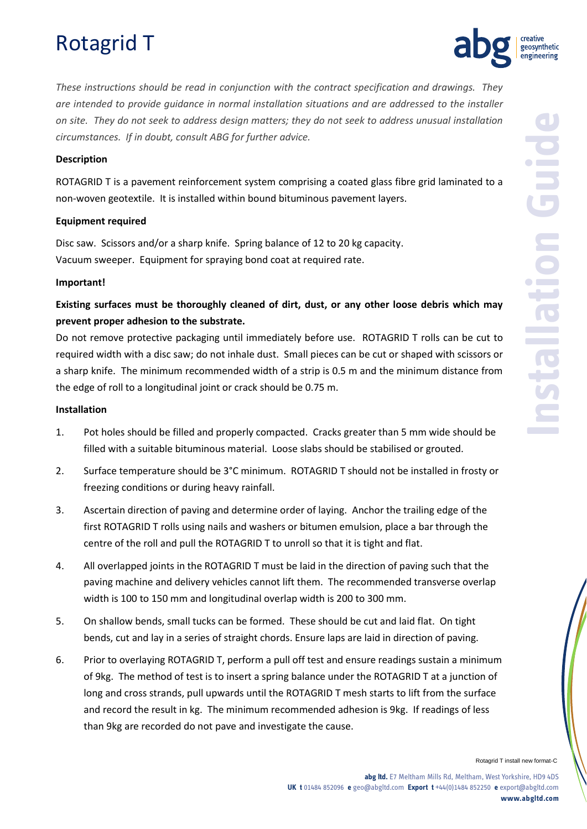# Rotagrid T



*These instructions should be read in conjunction with the contract specification and drawings. They are intended to provide guidance in normal installation situations and are addressed to the installer on site. They do not seek to address design matters; they do not seek to address unusual installation circumstances. If in doubt, consult ABG for further advice.*

#### **Description**

ROTAGRID T is a pavement reinforcement system comprising a coated glass fibre grid laminated to a non-woven geotextile. It is installed within bound bituminous pavement layers.

## **Equipment required**

Disc saw. Scissors and/or a sharp knife. Spring balance of 12 to 20 kg capacity. Vacuum sweeper. Equipment for spraying bond coat at required rate.

#### **Important!**

# **Existing surfaces must be thoroughly cleaned of dirt, dust, or any other loose debris which may prevent proper adhesion to the substrate.**

Do not remove protective packaging until immediately before use. ROTAGRID T rolls can be cut to required width with a disc saw; do not inhale dust. Small pieces can be cut or shaped with scissors or a sharp knife. The minimum recommended width of a strip is 0.5 m and the minimum distance from the edge of roll to a longitudinal joint or crack should be 0.75 m.

#### **Installation**

- 1. Pot holes should be filled and properly compacted. Cracks greater than 5 mm wide should be filled with a suitable bituminous material. Loose slabs should be stabilised or grouted.
- 2. Surface temperature should be 3°C minimum. ROTAGRID T should not be installed in frosty or freezing conditions or during heavy rainfall.
- 3. Ascertain direction of paving and determine order of laying. Anchor the trailing edge of the first ROTAGRID T rolls using nails and washers or bitumen emulsion, place a bar through the centre of the roll and pull the ROTAGRID T to unroll so that it is tight and flat.
- 4. All overlapped joints in the ROTAGRID T must be laid in the direction of paving such that the paving machine and delivery vehicles cannot lift them. The recommended transverse overlap width is 100 to 150 mm and longitudinal overlap width is 200 to 300 mm.
- 5. On shallow bends, small tucks can be formed. These should be cut and laid flat. On tight bends, cut and lay in a series of straight chords. Ensure laps are laid in direction of paving.
- 6. Prior to overlaying ROTAGRID T, perform a pull off test and ensure readings sustain a minimum of 9kg. The method of test is to insert a spring balance under the ROTAGRID T at a junction of long and cross strands, pull upwards until the ROTAGRID T mesh starts to lift from the surface and record the result in kg. The minimum recommended adhesion is 9kg. If readings of less than 9kg are recorded do not pave and investigate the cause.

Rotagrid T install new format-C